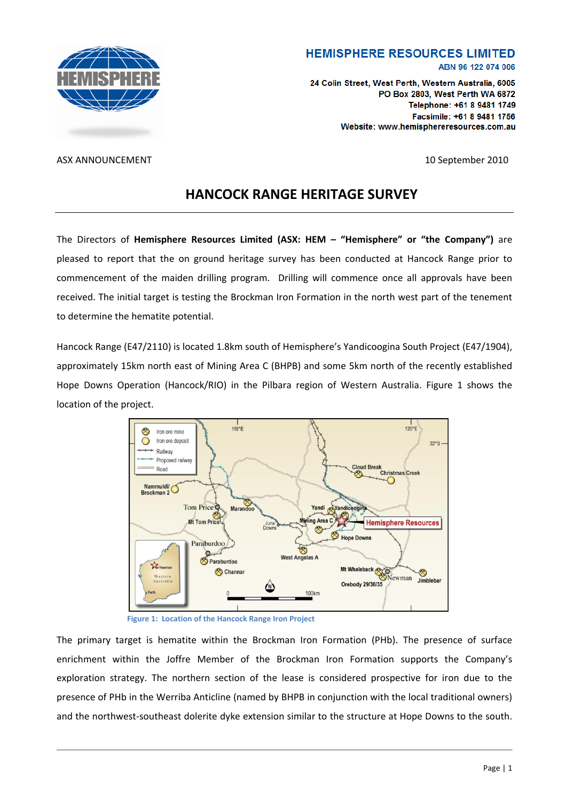

### **HEMISPHERE RESOURCES LIMITED** ABN 96 122 074 006

24 Colin Street. West Perth. Western Australia, 6005 PO Box 2803, West Perth WA 6872 Telephone: +61 8 9481 1749 Facsimile: +61 8 9481 1756 Website: www.hemisphereresources.com.au

ASX ANNOUNCEMENT 10 September 2010

# **HANCOCK RANGE HERITAGE SURVEY**

The Directors of **Hemisphere Resources Limited (ASX: HEM – "Hemisphere" or "the Company")** are pleased to report that the on ground heritage survey has been conducted at Hancock Range prior to commencement of the maiden drilling program. Drilling will commence once all approvals have been received. The initial target is testing the Brockman Iron Formation in the north west part of the tenement to determine the hematite potential.

Hancock Range (E47/2110) is located 1.8km south of Hemisphere's Yandicoogina South Project (E47/1904), approximately 15km north east of Mining Area C (BHPB) and some 5km north of the recently established Hope Downs Operation (Hancock/RIO) in the Pilbara region of Western Australia. Figure 1 shows the location of the project.



**Figure 1: Location of the Hancock Range Iron Project**

The primary target is hematite within the Brockman Iron Formation (PHb). The presence of surface enrichment within the Joffre Member of the Brockman Iron Formation supports the Company's exploration strategy. The northern section of the lease is considered prospective for iron due to the presence of PHb in the Werriba Anticline (named by BHPB in conjunction with the local traditional owners) and the northwest-southeast dolerite dyke extension similar to the structure at Hope Downs to the south.